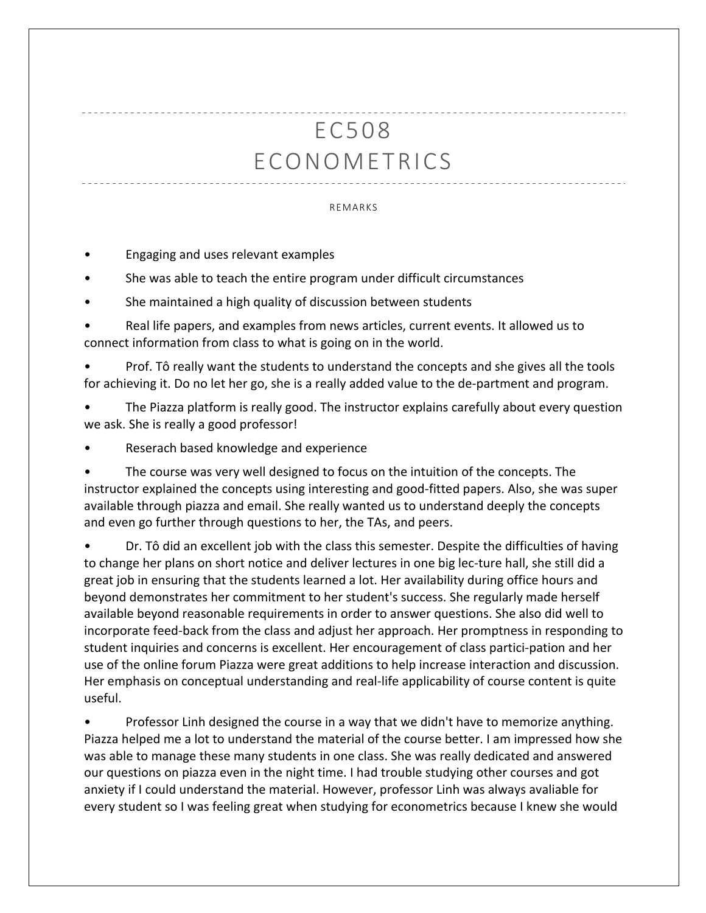## EC508 ECONOMETRICS

## REMARKS

- Engaging and uses relevant examples
- She was able to teach the entire program under difficult circumstances
- She maintained a high quality of discussion between students

• Real life papers, and examples from news articles, current events. It allowed us to connect information from class to what is going on in the world.

• Prof. Tô really want the students to understand the concepts and she gives all the tools for achieving it. Do no let her go, she is a really added value to the de-partment and program.

• The Piazza platform is really good. The instructor explains carefully about every question we ask. She is really a good professor!

• Reserach based knowledge and experience

The course was very well designed to focus on the intuition of the concepts. The instructor explained the concepts using interesting and good-fitted papers. Also, she was super available through piazza and email. She really wanted us to understand deeply the concepts and even go further through questions to her, the TAs, and peers.

• Dr. Tô did an excellent job with the class this semester. Despite the difficulties of having to change her plans on short notice and deliver lectures in one big lec-ture hall, she still did a great job in ensuring that the students learned a lot. Her availability during office hours and beyond demonstrates her commitment to her student's success. She regularly made herself available beyond reasonable requirements in order to answer questions. She also did well to incorporate feed-back from the class and adjust her approach. Her promptness in responding to student inquiries and concerns is excellent. Her encouragement of class partici-pation and her use of the online forum Piazza were great additions to help increase interaction and discussion. Her emphasis on conceptual understanding and real-life applicability of course content is quite useful.

Professor Linh designed the course in a way that we didn't have to memorize anything. Piazza helped me a lot to understand the material of the course better. I am impressed how she was able to manage these many students in one class. She was really dedicated and answered our questions on piazza even in the night time. I had trouble studying other courses and got anxiety if I could understand the material. However, professor Linh was always avaliable for every student so I was feeling great when studying for econometrics because I knew she would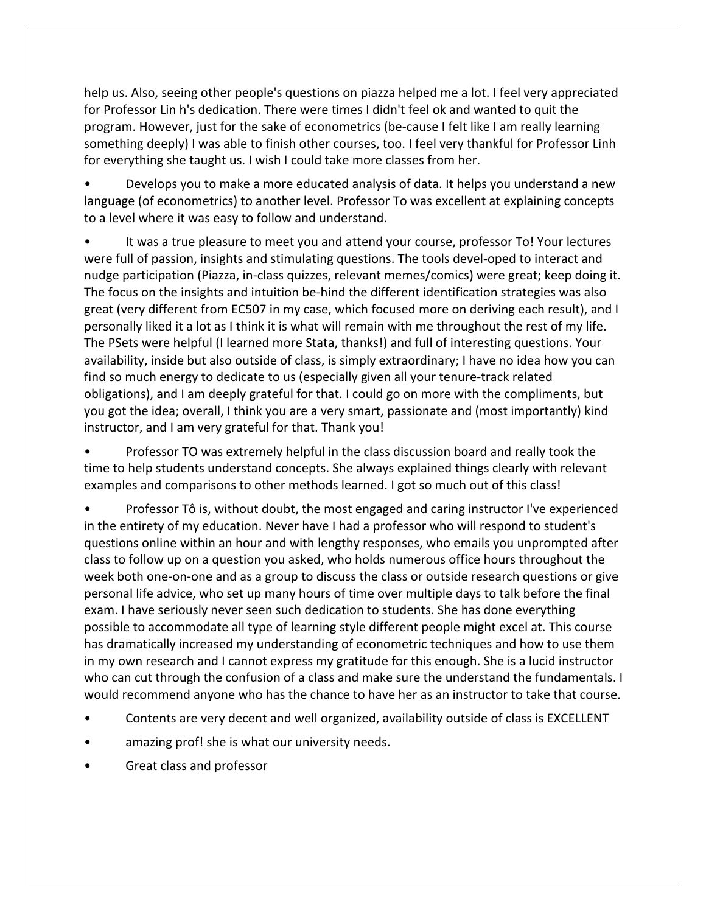help us. Also, seeing other people's questions on piazza helped me a lot. I feel very appreciated for Professor Lin h's dedication. There were times I didn't feel ok and wanted to quit the program. However, just for the sake of econometrics (be-cause I felt like I am really learning something deeply) I was able to finish other courses, too. I feel very thankful for Professor Linh for everything she taught us. I wish I could take more classes from her.

• Develops you to make a more educated analysis of data. It helps you understand a new language (of econometrics) to another level. Professor To was excellent at explaining concepts to a level where it was easy to follow and understand.

It was a true pleasure to meet you and attend your course, professor To! Your lectures were full of passion, insights and stimulating questions. The tools devel-oped to interact and nudge participation (Piazza, in-class quizzes, relevant memes/comics) were great; keep doing it. The focus on the insights and intuition be-hind the different identification strategies was also great (very different from EC507 in my case, which focused more on deriving each result), and I personally liked it a lot as I think it is what will remain with me throughout the rest of my life. The PSets were helpful (I learned more Stata, thanks!) and full of interesting questions. Your availability, inside but also outside of class, is simply extraordinary; I have no idea how you can find so much energy to dedicate to us (especially given all your tenure-track related obligations), and I am deeply grateful for that. I could go on more with the compliments, but you got the idea; overall, I think you are a very smart, passionate and (most importantly) kind instructor, and I am very grateful for that. Thank you!

• Professor TO was extremely helpful in the class discussion board and really took the time to help students understand concepts. She always explained things clearly with relevant examples and comparisons to other methods learned. I got so much out of this class!

• Professor Tô is, without doubt, the most engaged and caring instructor I've experienced in the entirety of my education. Never have I had a professor who will respond to student's questions online within an hour and with lengthy responses, who emails you unprompted after class to follow up on a question you asked, who holds numerous office hours throughout the week both one-on-one and as a group to discuss the class or outside research questions or give personal life advice, who set up many hours of time over multiple days to talk before the final exam. I have seriously never seen such dedication to students. She has done everything possible to accommodate all type of learning style different people might excel at. This course has dramatically increased my understanding of econometric techniques and how to use them in my own research and I cannot express my gratitude for this enough. She is a lucid instructor who can cut through the confusion of a class and make sure the understand the fundamentals. I would recommend anyone who has the chance to have her as an instructor to take that course.

- Contents are very decent and well organized, availability outside of class is EXCELLENT
- amazing prof! she is what our university needs.
- Great class and professor